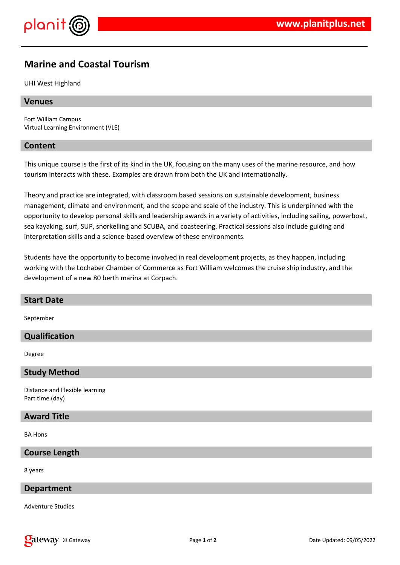

# **Marine and Coastal Tourism**

UHI West Highland

## **Venues**

Fort William Campus Virtual Learning Environment (VLE)

#### **Content**

This unique course is the first of its kind in the UK, focusing on the many uses of the marine resource, and how tourism interacts with these. Examples are drawn from both the UK and internationally.

Theory and practice are integrated, with classroom based sessions on sustainable development, business management, climate and environment, and the scope and scale of the industry. This is underpinned with the opportunity to develop personal skills and leadership awards in a variety of activities, including sailing, powerboat, sea kayaking, surf, SUP, snorkelling and SCUBA, and coasteering. Practical sessions also include guiding and interpretation skills and a science-based overview of these environments.

Students have the opportunity to become involved in real development projects, as they happen, including working with the Lochaber Chamber of Commerce as Fort William welcomes the cruise ship industry, and the development of a new 80 berth marina at Corpach.

## **Start Date**

September

# **Qualification**

Degree

#### **Study Method**

Distance and Flexible learning Part time (day)

#### **Award Title**

BA Hons

# **Course Length**

8 years

# **Department**

Adventure Studies